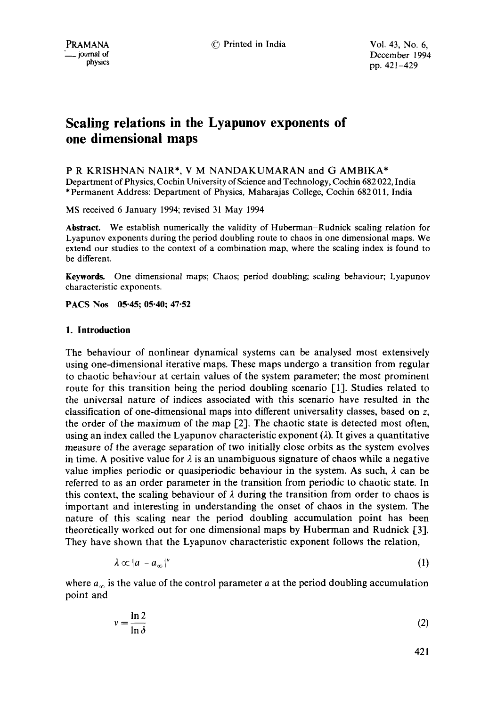PRAMANA © Printed in India Vol. 43, No. 6,  $\mu$ mal of December 1994<br>  $\mu$  physics  $\mu$  and  $\mu$  and  $\mu$  and  $\mu$  and  $\mu$  and  $\mu$  and  $\mu$  and  $\mu$  and  $\mu$  and  $\mu$  and  $\mu$  and  $\mu$  and  $\mu$  and  $\mu$  and  $\mu$  and  $\mu$  and  $\mu$  and  $\mu$  and  $\mu$  and  $\mu$  and  $\$ pp. 421-429

# **Scaling relations in the Lyapunov exponents of one dimensional maps**

P R KRISHNAN NAIR\*, V M NANDAKUMARAN and G AMBIKA\* Department of Physics, Cochin University of Science and Technology, Cochin 682 022, India \*Permanent Address: Department of Physics, Maharajas College, Cochin 682 011, India

MS received 6 January 1994; revised 31 May 1994

**Abstract.** We establish numerically the validity of Huberman-Rudnick scaling relation for Lyapunov exponents during the period doubling route to chaos in one dimensional maps. We extend our studies to the context of a combination map, where the scaling index is found to be different.

**Keywords.** One dimensional maps; Chaos; period doubling; scaling behaviour; Lyapunov characteristic exponents.

**PACS Nos 05.45; 05.40; 47.52** 

# **1. Introduction**

The behaviour of nonlinear dynamical systems can be analysed most extensively using one-dimensional iterative maps. These maps undergo a transition from regular to chaotic behaviour at certain values of the system parameter; the most prominent route for this transition being the period doubling scenario [1]. Studies related to the universal nature of indices associated with this scenario have resulted in the classification of one-dimensional maps into different universality classes, based on z, the order of the maximum of the map [2]. The chaotic state is detected most often, using an index called the Lyapunov characteristic exponent  $(\lambda)$ . It gives a quantitative measure of the average separation of two initially close orbits as the system evolves in time. A positive value for  $\lambda$  is an unambiguous signature of chaos while a negative value implies periodic or quasiperiodic behaviour in the system. As such,  $\lambda$  can be referred to as an order parameter in the transition from periodic to chaotic state. In this context, the scaling behaviour of  $\lambda$  during the transition from order to chaos is important and interesting in understanding the onset of chaos in the system. The nature of this scaling near the period doubling accumulation point has been theoretically worked out for one dimensional maps by Huberman and Rudnick [3]. They have shown that the Lyapunov characteristic exponent follows the relation,

$$
\lambda \propto |a - a_{\infty}|^{\nu} \tag{1}
$$

where  $a_{\infty}$  is the value of the control parameter a at the period doubling accumulation point and

$$
v = \frac{\ln 2}{\ln \delta} \tag{2}
$$

421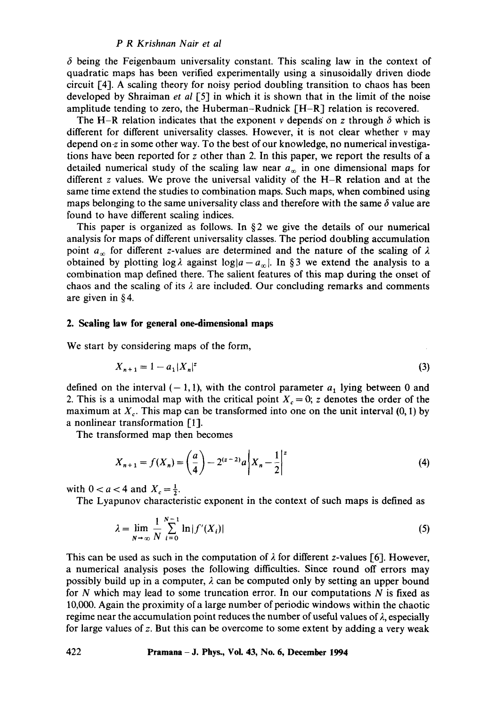## *P R Krishnan Nair et al*

 $\delta$  being the Feigenbaum universality constant. This scaling law in the context of quadratic maps has been verified experimentally using a sinusoidally driven diode circuit I-4]. A scaling theory for noisy period doubling transition to chaos has been developed by Shraiman *et al* [5] in which it is shown that in the limit of the noise amplitude tending to zero, the Huberman-Rudnick  $[H-R]$  relation is recovered.

The H-R relation indicates that the exponent v depends on z through  $\delta$  which is different for different universality classes. However, it is not clear whether v may depend on-z in some other way. To the best of our knowledge, no numerical investigations have been reported for  $z$  other than 2. In this paper, we report the results of a detailed numerical study of the scaling law near  $a_{\infty}$  in one dimensional maps for different z values. We prove the universal validity of the  $H-R$  relation and at the same time extend the studies to combination maps. Such maps, when combined using maps belonging to the same universality class and therefore with the same  $\delta$  value are found to have different scaling indices.

This paper is organized as follows. In  $\S 2$  we give the details of our numerical analysis for maps of different universality classes. The period doubling accumulation point  $a_{\infty}$  for different z-values are determined and the nature of the scaling of  $\lambda$ obtained by plotting  $\log \lambda$  against  $\log |a-a_{\infty}|$ . In §3 we extend the analysis to a combination map defined there. The salient features of this map during the onset of chaos and the scaling of its  $\lambda$  are included. Our concluding remarks and comments are given in § 4.

### 2. Scaling **law for general one-dimensional maps**

We start by considering maps of the form,

$$
X_{n+1} = 1 - a_1 |X_n|^2 \tag{3}
$$

defined on the interval  $(-1, 1)$ , with the control parameter  $a_1$  lying between 0 and 2. This is a unimodal map with the critical point  $X_c = 0$ ; z denotes the order of the maximum at  $X_c$ . This map can be transformed into one on the unit interval (0, 1) by a nonlinear transformation [1].

The transformed map then becomes

$$
X_{n+1} = f(X_n) = \left(\frac{a}{4}\right) - 2^{(z-2)}a\left|X_n - \frac{1}{2}\right|^2\tag{4}
$$

with  $0 < a < 4$  and  $X_c = \frac{1}{2}$ .

The Lyapunov characteristic exponent in the context of such maps is defined as

$$
\lambda = \lim_{N \to \infty} \frac{1}{N} \sum_{i=0}^{N-1} \ln |f'(X_i)|
$$
 (5)

This can be used as such in the computation of  $\lambda$  for different z-values [6]. However, a numerical analysis poses the following difficulties. Since round off errors may possibly build up in a computer,  $\lambda$  can be computed only by setting an upper bound for  $N$  which may lead to some truncation error. In our computations  $N$  is fixed as 10,000. Again the proximity of a large number of periodic windows within the chaotic regime near the accumulation point reduces the number of useful values of  $\lambda$ , especially for large values of z. But this can be overcome to some extent by adding a very weak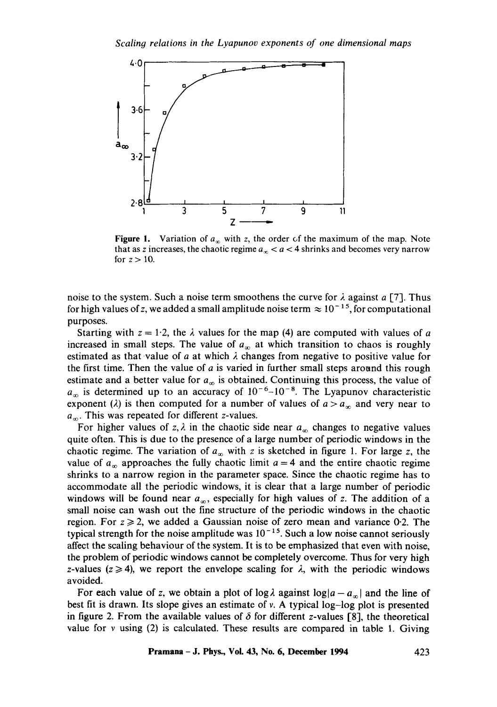

Figure 1. Variation of  $a_{\infty}$  with z, the order of the maximum of the map. Note that as z increases, the chaotic regime  $a_{\infty} < a < 4$  shrinks and becomes very narrow for  $z > 10$ .

noise to the system. Such a noise term smoothens the curve for  $\lambda$  against a [7]. Thus for high values of z, we added a small amplitude noise term  $\approx 10^{-15}$ , for computational purposes.

Starting with  $z = 1.2$ , the  $\lambda$  values for the map (4) are computed with values of a increased in small steps. The value of  $a_{\infty}$  at which transition to chaos is roughly estimated as that value of a at which  $\lambda$  changes from negative to positive value for the first time. Then the value of  $a$  is varied in further small steps around this rough estimate and a better value for  $a_{\infty}$  is obtained. Continuing this process, the value of  $a_{\infty}$  is determined up to an accuracy of  $10^{-6}-10^{-8}$ . The Lyapunov characteristic exponent ( $\lambda$ ) is then computed for a number of values of  $a > a<sub>x</sub>$  and very near to  $a_{\infty}$ . This was repeated for different z-values.

For higher values of z,  $\lambda$  in the chaotic side near  $a_{\infty}$  changes to negative values quite often. This is due to the presence of a large number of periodic windows in the chaotic regime. The variation of  $a_{\infty}$  with z is sketched in figure 1. For large z, the value of  $a_{\infty}$  approaches the fully chaotic limit  $a = 4$  and the entire chaotic regime shrinks to a narrow region in the parameter space. Since the chaotic regime has to accommodate all the periodic windows, it is clear that a large number of periodic windows will be found near  $a_{\infty}$ , especially for high values of z. The addition of a small noise can wash out the fine structure of the periodic windows in the chaotic region. For  $z \ge 2$ , we added a Gaussian noise of zero mean and variance 0.2. The typical strength for the noise amplitude was  $10^{-15}$ . Such a low noise cannot seriously affect the scaling behaviour of the system. It is to be emphasized that even with noise, the problem of periodic windows cannot be completely overcome. Thus for very high z-values ( $z \ge 4$ ), we report the envelope scaling for  $\lambda$ , with the periodic windows avoided.

For each value of z, we obtain a plot of log  $\lambda$  against log  $|a - a_{\infty}|$  and the line of best fit is drawn. Its slope gives an estimate of v. A typical log-log plot is presented in figure 2. From the available values of  $\delta$  for different z-values [8], the theoretical value for  $v$  using (2) is calculated. These results are compared in table 1. Giving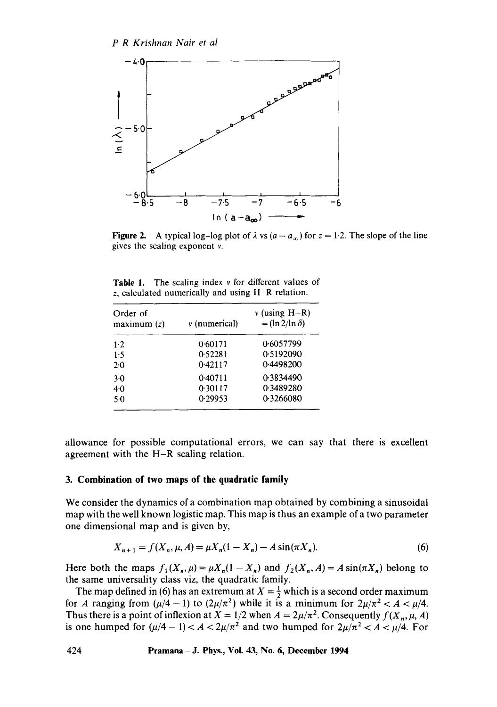

Figure 2. A typical log-log plot of  $\lambda$  vs  $(a - a_{\infty})$  for  $z = 1.2$ . The slope of the line gives the scaling exponent v.

| z, calculated numerically and using $H-R$ relation. |                   |                                            |  |
|-----------------------------------------------------|-------------------|--------------------------------------------|--|
| Order of<br>maximum(z)                              | $\nu$ (numerical) | $v$ (using H-R)<br>$=$ (ln 2/ln $\delta$ ) |  |

**Table** 1. The scaling index v for different values of

| Order of<br>maximum(z) | $v$ (numerical) | $v$ (using $H-R$ )<br>$=$ (ln 2/ln $\delta$ ) |  |
|------------------------|-----------------|-----------------------------------------------|--|
| 1.2                    | 0.60171         | 0.6057799                                     |  |
| 1.5                    | 0.52281         | 0.5192090                                     |  |
| 2.0                    | 0.42117         | 0.4498200                                     |  |
| $3-0$                  | 0.40711         | 0.3834490                                     |  |
| 40                     | 0.30117         | 0.3489280                                     |  |
| 5.0                    | 0.29953         | 0.3266080                                     |  |

allowance for possible computational errors, we can say that there is excellent agreement with the H-R scaling relation.

## **3. Combination of two maps of the quadratic family**

We consider the dynamics of a combination map obtained by combining a sinusoidal map with the well known logistic map. This map is thus an example of a two parameter one dimensional map and is given by,

$$
X_{n+1} = f(X_n, \mu, A) = \mu X_n (1 - X_n) - A \sin(\pi X_n). \tag{6}
$$

Here both the maps  $f_1(X_n, \mu) = \mu X_n(1 - X_n)$  and  $f_2(X_n, A) = A \sin(\pi X_n)$  belong to the same universality class viz, the quadratic family.

The map defined in (6) has an extremum at  $X = \frac{1}{2}$  which is a second order maximum for A ranging from  $(\mu/4 - 1)$  to  $(2\mu/\pi^2)$  while it is a minimum for  $2\mu/\pi^2 < A < \mu/4$ . Thus there is a point of inflexion at  $X = 1/2$  when  $A = 2\mu/\pi^2$ . Consequently  $f(X_n, \mu, A)$ is one humped for  $(\mu/4 - 1) < A < 2\mu/\pi^2$  and two humped for  $2\mu/\pi^2 < A < \mu/4$ . For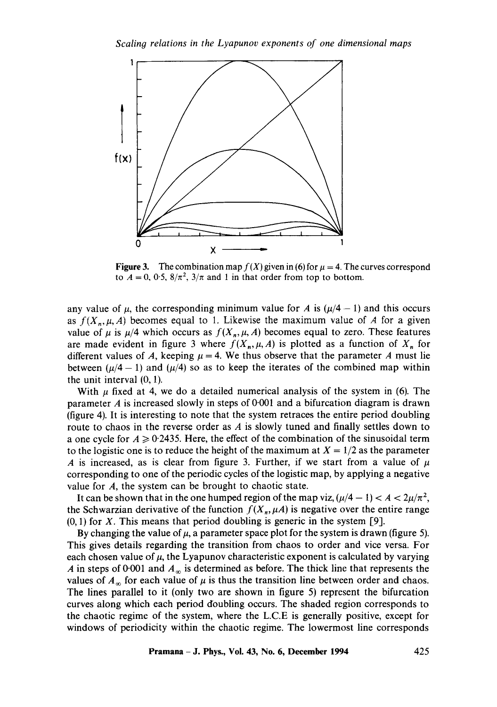

Figure 3. The combination map  $f(X)$  given in (6) for  $\mu = 4$ . The curves correspond to  $A = 0$ , 0.5,  $8/\pi^2$ ,  $3/\pi$  and 1 in that order from top to bottom.

any value of  $\mu$ , the corresponding minimum value for A is ( $\mu/4 - 1$ ) and this occurs as  $f(X_n, \mu, A)$  becomes equal to 1. Likewise the maximum value of A for a given value of  $\mu$  is  $\mu/4$  which occurs as  $f(X_n, \mu, A)$  becomes equal to zero. These features are made evident in figure 3 where  $f(X_n, \mu, A)$  is plotted as a function of  $X_n$  for different values of A, keeping  $\mu = 4$ . We thus observe that the parameter A must lie between ( $\mu/4 - 1$ ) and ( $\mu/4$ ) so as to keep the iterates of the combined map within the unit interval (0, 1).

With  $\mu$  fixed at 4, we do a detailed numerical analysis of the system in (6). The parameter  $A$  is increased slowly in steps of 0.001 and a bifurcation diagram is drawn (figure 4). It is interesting to note that the system retraces the entire period doubling route to chaos in the reverse order as A is slowly tuned and finally settles down to a one cycle for  $A \ge 0.2435$ . Here, the effect of the combination of the sinusoidal term to the logistic one is to reduce the height of the maximum at  $X = 1/2$  as the parameter A is increased, as is clear from figure 3. Further, if we start from a value of  $\mu$ corresponding to one of the periodic cycles of the logistic map, by applying a negative value for A, the system can be brought to chaotic state.

It can be shown that in the one humped region of the map viz,  $(\mu/4 - 1) < A < 2\mu/\pi^2$ , the Schwarzian derivative of the function  $f(X_n, \mu A)$  is negative over the entire range  $(0, 1)$  for X. This means that period doubling is generic in the system [9].

By changing the value of  $\mu$ , a parameter space plot for the system is drawn (figure 5). This gives details regarding the transition from chaos to order and vice versa. For each chosen value of  $\mu$ , the Lyapunov characteristic exponent is calculated by varying A in steps of 0.001 and  $A_{\infty}$  is determined as before. The thick line that represents the values of  $A_{\infty}$  for each value of  $\mu$  is thus the transition line between order and chaos. The lines parallel to it (only two are shown in figure 5) represent the bifurcation curves along which each period doubling occurs. The shaded region corresponds to the chaotic regime of the system, where the L.C.E is generally positive, except for windows of periodicity within the chaotic regime. The lowermost line corresponds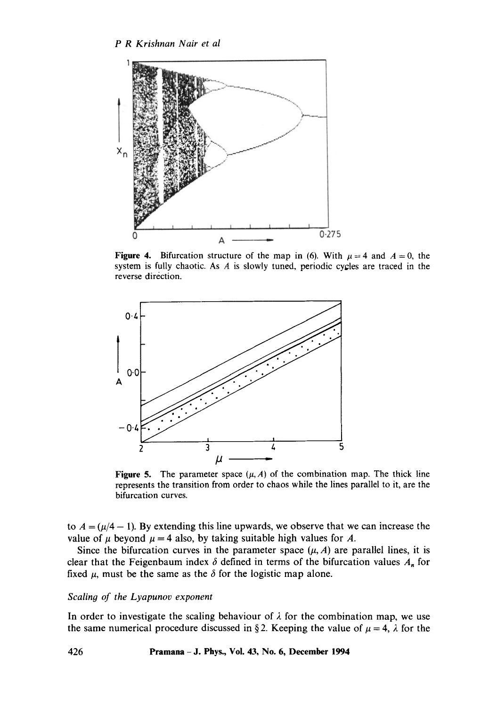

**Figure 4.** Bifurcation structure of the map in (6). With  $\mu = 4$  and  $A = 0$ , the system is fully chaotic. As  $A$  is slowly tuned, periodic cycles are traced in the reverse direction.



Figure 5. The parameter space  $(\mu, A)$  of the combination map. The thick line represents the transition from order to chaos while the lines parallel to it, are the bifurcation curves.

to  $A = (\mu/4 - 1)$ . By extending this line upwards, we observe that we can increase the value of  $\mu$  beyond  $\mu = 4$  also, by taking suitable high values for A.

Since the bifurcation curves in the parameter space  $(\mu, A)$  are parallel lines, it is clear that the Feigenbaum index  $\delta$  defined in terms of the bifurcation values  $A_n$  for fixed  $\mu$ , must be the same as the  $\delta$  for the logistic map alone.

# *Scalin9 of the Lyapunov exponent*

In order to investigate the scaling behaviour of  $\lambda$  for the combination map, we use the same numerical procedure discussed in §2. Keeping the value of  $\mu = 4$ ,  $\lambda$  for the

**426 Pramana- J. Phys., Vol. 43, No. 6, December 1994**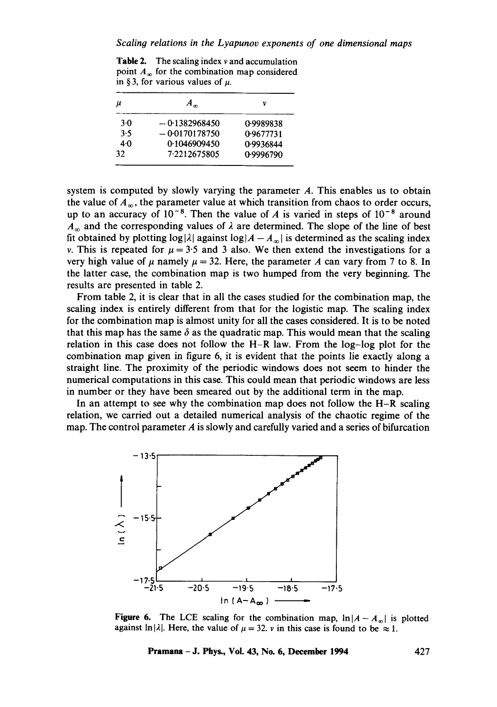**Table 2.** The scaling index  $\nu$  and accumulation point  $A_{\infty}$  for the combination map considered in § 3, for various values of  $\mu$ .

| μ   | $A_{\infty}$    | ν         |
|-----|-----------------|-----------|
| 3.0 | $-0.1382968450$ | 0.9989838 |
| 3.5 | $-0.0170178750$ | 0.9677731 |
| 4·0 | 0.1046909450    | 0.9936844 |
| 32  | 7.2212675805    | 0.9996790 |

system is computed by slowly varying the parameter  $A$ . This enables us to obtain the value of  $A_{\infty}$ , the parameter value at which transition from chaos to order occurs, up to an accuracy of  $10^{-8}$ . Then the value of A is varied in steps of  $10^{-8}$  around  $A_{\infty}$  and the corresponding values of  $\lambda$  are determined. The slope of the line of best fit obtained by plotting  $log|\lambda|$  against  $log|A - A_{\infty}|$  is determined as the scaling index v. This is repeated for  $\mu = 3.5$  and 3 also. We then extend the investigations for a very high value of  $\mu$  namely  $\mu = 32$ . Here, the parameter A can vary from 7 to 8. In the latter case, the combination map is two humped from the very beginning. The results are presented in table 2.

From table 2, it is clear that in all the cases studied for the combination map, the scaling index is entirely different from that for the logistic map. The scaling index for the combination map is almost unity for all the cases considered. It is to be noted that this map has the same  $\delta$  as the quadratic map. This would mean that the scaling relation in this case does not follow the H-R law. From the log-log plot for the combination map given in figure 6, it is evident that the points lie exactly along a straight line. The proximity of the periodic windows does not seem to hinder the numerical computations in this case. This could mean that periodic windows are less in number or they have been smeared out by the additional term in the map.

In an attempt to see why the combination map does not follow the  $H-R$  scaling relation, we carried out a detailed numerical analysis of the chaotic regime of the map. The control parameter  $\vec{A}$  is slowly and carefully varied and a series of bifurcation



Figure 6. The LCE scaling for the combination map,  $\ln|A-A_{\infty}|$  is plotted against ln| $\lambda$ |. Here, the value of  $\mu = 32$ . v in this case is found to be  $\approx 1$ .

**Pramana - J. Phys., Vol. 43, No. 6, December 1994** 427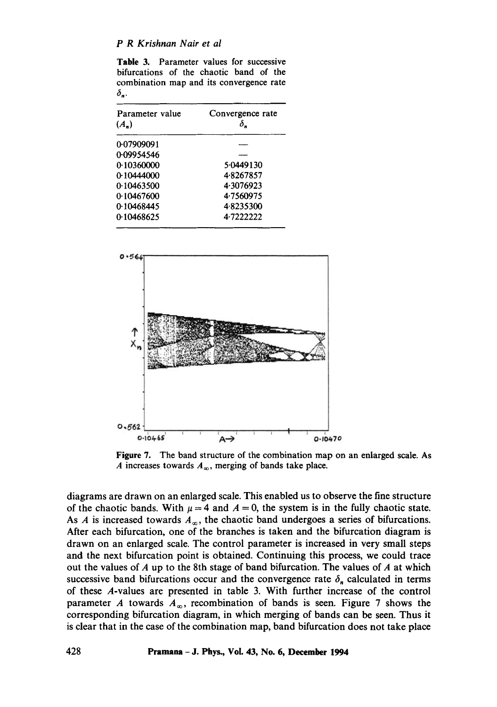## *P R Krishnan Nair et al*

**Table** 3. Parameter values for successive bifurcations of the chaotic band of the combination map and its convergence rate  $\delta_n$ .

| Parameter value<br>$(A_n)$ | Convergence rate<br>δ. |
|----------------------------|------------------------|
| 0.07909091                 |                        |
| 0.09954546                 |                        |
| 0.10360000                 | 5.0449130              |
| 0.10444000                 | 4.8267857              |
| 0.10463500                 | 4.3076923              |
| 0.10467600                 | 4.7560975              |
| 0.10468445                 | 48235300               |
| 0.10468625                 | 4.7222222              |



**Figure** 7. The band structure of the combination map on an enlarged scale. As A increases towards  $A_{\infty}$ , merging of bands take place.

diagrams are drawn on an enlarged scale. This enabled us to observe the fine structure of the chaotic bands. With  $\mu = 4$  and  $A = 0$ , the system is in the fully chaotic state. As A is increased towards  $A_{\infty}$ , the chaotic band undergoes a series of bifurcations. After each bifurcation, one of the branches is taken and the bifurcation diagram is drawn on an enlarged scale. The control parameter is increased in very small steps and the next bifurcation point is obtained. Continuing this process, we could trace out the values of  $A$  up to the 8th stage of band bifurcation. The values of  $A$  at which successive band bifurcations occur and the convergence rate  $\delta_n$  calculated in terms of these A-values are presented in table 3. With further increase of the control parameter A towards  $A_{\infty}$ , recombination of bands is seen. Figure 7 shows the corresponding bifurcation diagram, in which merging of bands can be seen. Thus it is clear that in the case of the combination map, band bifurcation does not take place